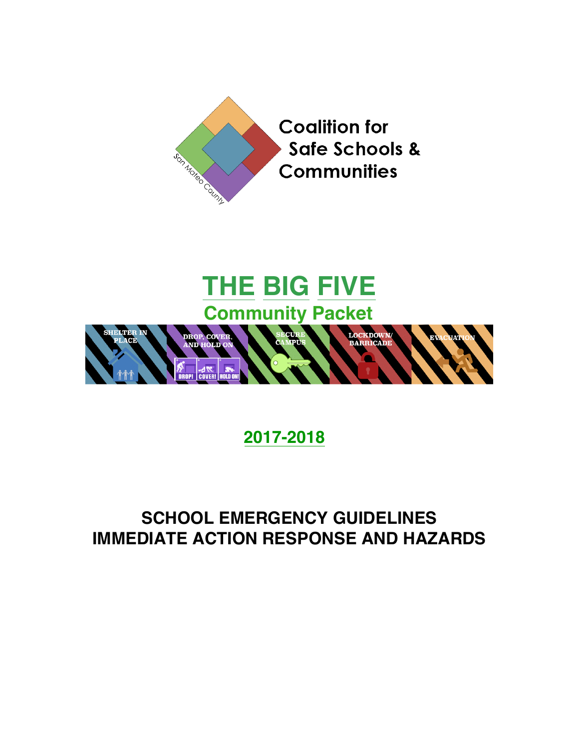

# **THE BIG FIVE Community Packet**



# **2017-2018**

## **SCHOOL EMERGENCY GUIDELINES IMMEDIATE ACTION RESPONSE AND HAZARDS**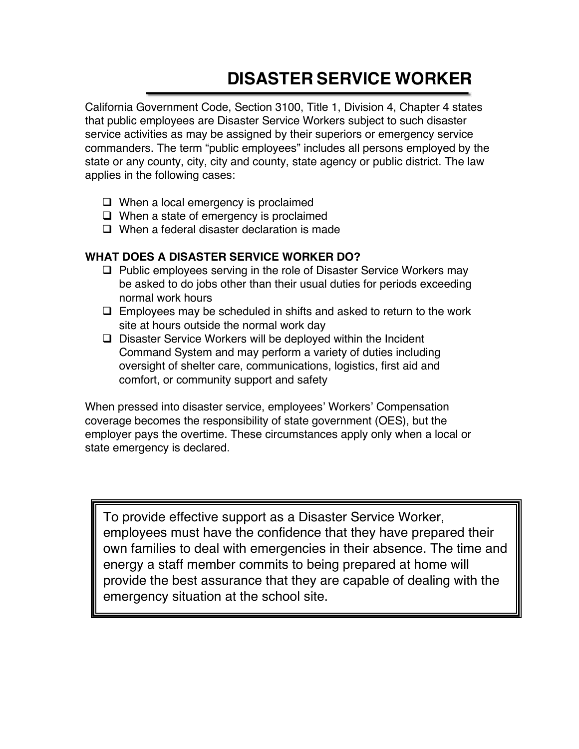# **DISASTER SERVICE WORKER**

California Government Code, Section 3100, Title 1, Division 4, Chapter 4 states that public employees are Disaster Service Workers subject to such disaster service activities as may be assigned by their superiors or emergency service commanders. The term "public employees" includes all persons employed by the state or any county, city, city and county, state agency or public district. The law applies in the following cases:

- $\Box$  When a local emergency is proclaimed
- $\Box$  When a state of emergency is proclaimed
- $\Box$  When a federal disaster declaration is made

#### **WHAT DOES A DISASTER SERVICE WORKER DO?**

- $\Box$  Public employees serving in the role of Disaster Service Workers may be asked to do jobs other than their usual duties for periods exceeding normal work hours
- $\Box$  Employees may be scheduled in shifts and asked to return to the work site at hours outside the normal work day
- $\Box$  Disaster Service Workers will be deployed within the Incident Command System and may perform a variety of duties including oversight of shelter care, communications, logistics, first aid and comfort, or community support and safety

When pressed into disaster service, employees' Workers' Compensation coverage becomes the responsibility of state government (OES), but the employer pays the overtime. These circumstances apply only when a local or state emergency is declared.

To provide effective support as a Disaster Service Worker, employees must have the confidence that they have prepared their own families to deal with emergencies in their absence. The time and energy a staff member commits to being prepared at home will provide the best assurance that they are capable of dealing with the emergency situation at the school site.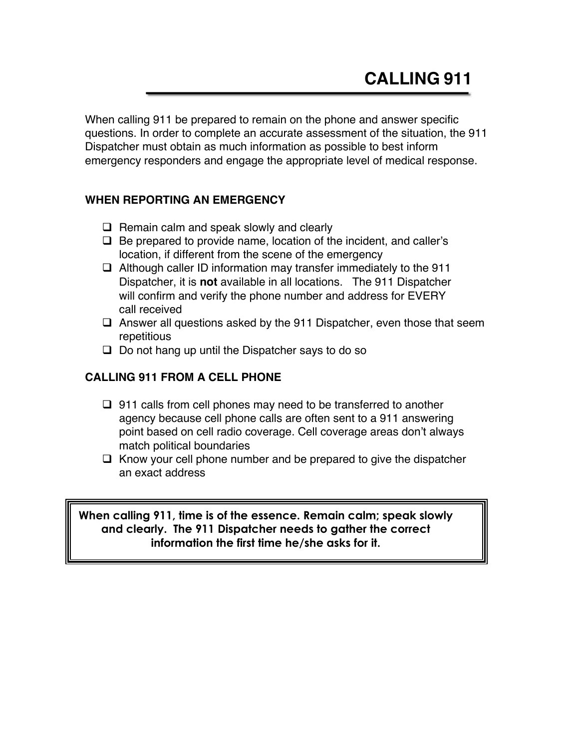When calling 911 be prepared to remain on the phone and answer specific questions. In order to complete an accurate assessment of the situation, the 911 Dispatcher must obtain as much information as possible to best inform emergency responders and engage the appropriate level of medical response.

#### **WHEN REPORTING AN EMERGENCY**

- $\Box$  Remain calm and speak slowly and clearly
- $\Box$  Be prepared to provide name, location of the incident, and caller's location, if different from the scene of the emergency
- $\Box$  Although caller ID information may transfer immediately to the 911 Dispatcher, it is **not** available in all locations. The 911 Dispatcher will confirm and verify the phone number and address for EVERY call received
- $\Box$  Answer all questions asked by the 911 Dispatcher, even those that seem repetitious
- $\Box$  Do not hang up until the Dispatcher says to do so

#### **CALLING 911 FROM A CELL PHONE**

- $\Box$  911 calls from cell phones may need to be transferred to another agency because cell phone calls are often sent to a 911 answering point based on cell radio coverage. Cell coverage areas don't always match political boundaries
- $\Box$  Know your cell phone number and be prepared to give the dispatcher an exact address

**When calling 911, time is of the essence. Remain calm; speak slowly and clearly. The 911 Dispatcher needs to gather the correct information the first time he/she asks for it.**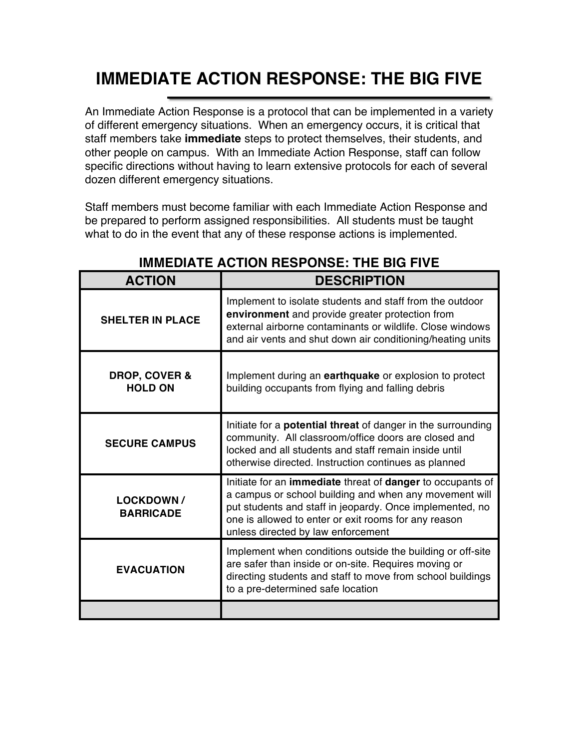# **IMMEDIATE ACTION RESPONSE: THE BIG FIVE**

An Immediate Action Response is a protocol that can be implemented in a variety of different emergency situations. When an emergency occurs, it is critical that staff members take **immediate** steps to protect themselves, their students, and other people on campus. With an Immediate Action Response, staff can follow specific directions without having to learn extensive protocols for each of several dozen different emergency situations.

Staff members must become familiar with each Immediate Action Response and be prepared to perform assigned responsibilities. All students must be taught what to do in the event that any of these response actions is implemented.

| <b>ACTION</b>                              | <b>DESCRIPTION</b>                                                                                                                                                                                                                                                             |
|--------------------------------------------|--------------------------------------------------------------------------------------------------------------------------------------------------------------------------------------------------------------------------------------------------------------------------------|
| <b>SHELTER IN PLACE</b>                    | Implement to isolate students and staff from the outdoor<br>environment and provide greater protection from<br>external airborne contaminants or wildlife. Close windows<br>and air vents and shut down air conditioning/heating units                                         |
| <b>DROP, COVER &amp;</b><br><b>HOLD ON</b> | Implement during an earthquake or explosion to protect<br>building occupants from flying and falling debris                                                                                                                                                                    |
| <b>SECURE CAMPUS</b>                       | Initiate for a <b>potential threat</b> of danger in the surrounding<br>community. All classroom/office doors are closed and<br>locked and all students and staff remain inside until<br>otherwise directed. Instruction continues as planned                                   |
| <b>LOCKDOWN/</b><br><b>BARRICADE</b>       | Initiate for an immediate threat of danger to occupants of<br>a campus or school building and when any movement will<br>put students and staff in jeopardy. Once implemented, no<br>one is allowed to enter or exit rooms for any reason<br>unless directed by law enforcement |
| <b>EVACUATION</b>                          | Implement when conditions outside the building or off-site<br>are safer than inside or on-site. Requires moving or<br>directing students and staff to move from school buildings<br>to a pre-determined safe location                                                          |
|                                            |                                                                                                                                                                                                                                                                                |

#### **IMMEDIATE ACTION RESPONSE: THE BIG FIVE**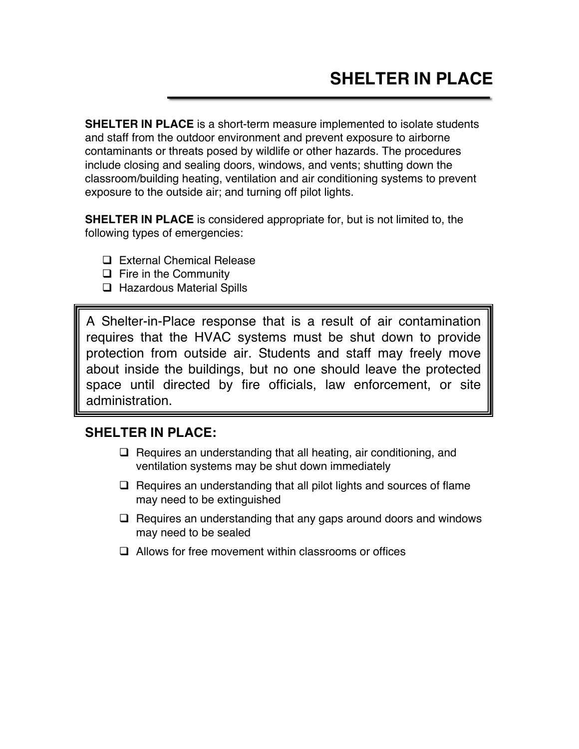**SHELTER IN PLACE** is a short-term measure implemented to isolate students and staff from the outdoor environment and prevent exposure to airborne contaminants or threats posed by wildlife or other hazards. The procedures include closing and sealing doors, windows, and vents; shutting down the classroom/building heating, ventilation and air conditioning systems to prevent exposure to the outside air; and turning off pilot lights.

**SHELTER IN PLACE** is considered appropriate for, but is not limited to, the following types of emergencies:

- □ External Chemical Release
- $\Box$  Fire in the Community
- $\Box$  Hazardous Material Spills

A Shelter-in-Place response that is a result of air contamination requires that the HVAC systems must be shut down to provide protection from outside air. Students and staff may freely move about inside the buildings, but no one should leave the protected space until directed by fire officials, law enforcement, or site administration.

#### **SHELTER IN PLACE:**

- $\Box$  Requires an understanding that all heating, air conditioning, and ventilation systems may be shut down immediately
- $\Box$  Requires an understanding that all pilot lights and sources of flame may need to be extinguished
- $\Box$  Requires an understanding that any gaps around doors and windows may need to be sealed
- $\Box$  Allows for free movement within classrooms or offices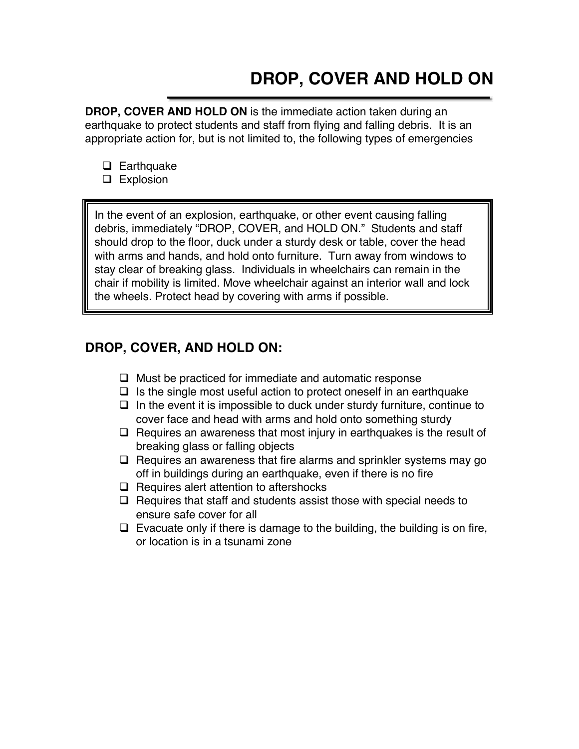# **DROP, COVER AND HOLD ON**

**DROP, COVER AND HOLD ON** is the immediate action taken during an earthquake to protect students and staff from flying and falling debris. It is an appropriate action for, but is not limited to, the following types of emergencies

- $\Box$  Earthquake
- $\Box$  Explosion

In the event of an explosion, earthquake, or other event causing falling debris, immediately "DROP, COVER, and HOLD ON." Students and staff should drop to the floor, duck under a sturdy desk or table, cover the head with arms and hands, and hold onto furniture. Turn away from windows to stay clear of breaking glass. Individuals in wheelchairs can remain in the chair if mobility is limited. Move wheelchair against an interior wall and lock the wheels. Protect head by covering with arms if possible.

#### **DROP, COVER, AND HOLD ON:**

- $\Box$  Must be practiced for immediate and automatic response
- $\Box$  Is the single most useful action to protect oneself in an earthquake
- $\Box$  In the event it is impossible to duck under sturdy furniture, continue to cover face and head with arms and hold onto something sturdy
- $\Box$  Requires an awareness that most injury in earthquakes is the result of breaking glass or falling objects
- $\Box$  Requires an awareness that fire alarms and sprinkler systems may go off in buildings during an earthquake, even if there is no fire
- $\Box$  Requires alert attention to aftershocks
- $\Box$  Requires that staff and students assist those with special needs to ensure safe cover for all
- $\Box$  Evacuate only if there is damage to the building, the building is on fire, or location is in a tsunami zone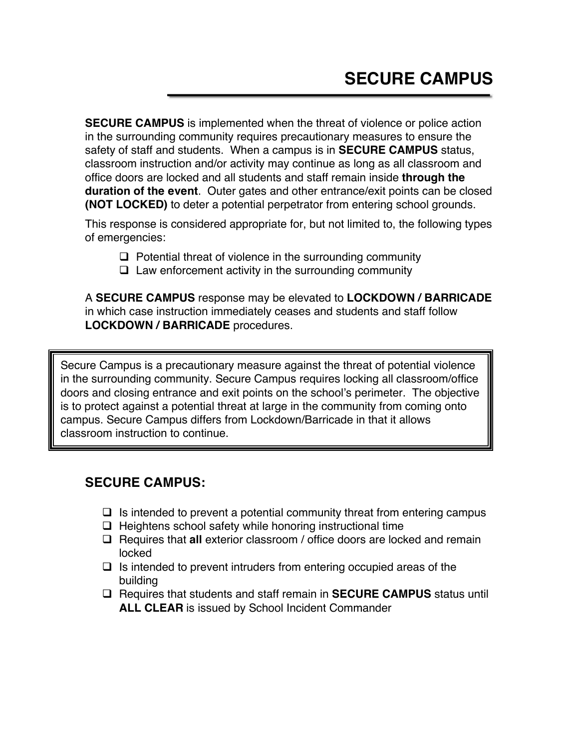**SECURE CAMPUS** is implemented when the threat of violence or police action in the surrounding community requires precautionary measures to ensure the safety of staff and students. When a campus is in **SECURE CAMPUS** status, classroom instruction and/or activity may continue as long as all classroom and office doors are locked and all students and staff remain inside **through the duration of the event**. Outer gates and other entrance/exit points can be closed **(NOT LOCKED)** to deter a potential perpetrator from entering school grounds.

This response is considered appropriate for, but not limited to, the following types of emergencies:

- $\Box$  Potential threat of violence in the surrounding community
- $\Box$  Law enforcement activity in the surrounding community

A **SECURE CAMPUS** response may be elevated to **LOCKDOWN / BARRICADE** in which case instruction immediately ceases and students and staff follow **LOCKDOWN / BARRICADE** procedures.

Secure Campus is a precautionary measure against the threat of potential violence in the surrounding community. Secure Campus requires locking all classroom/office doors and closing entrance and exit points on the school's perimeter. The objective is to protect against a potential threat at large in the community from coming onto campus. Secure Campus differs from Lockdown/Barricade in that it allows classroom instruction to continue.

#### **SECURE CAMPUS:**

- $\Box$  Is intended to prevent a potential community threat from entering campus
- $\Box$  Heightens school safety while honoring instructional time
- □ Requires that **all** exterior classroom / office doors are locked and remain locked
- $\Box$  Is intended to prevent intruders from entering occupied areas of the building
- q Requires that students and staff remain in **SECURE CAMPUS** status until **ALL CLEAR** is issued by School Incident Commander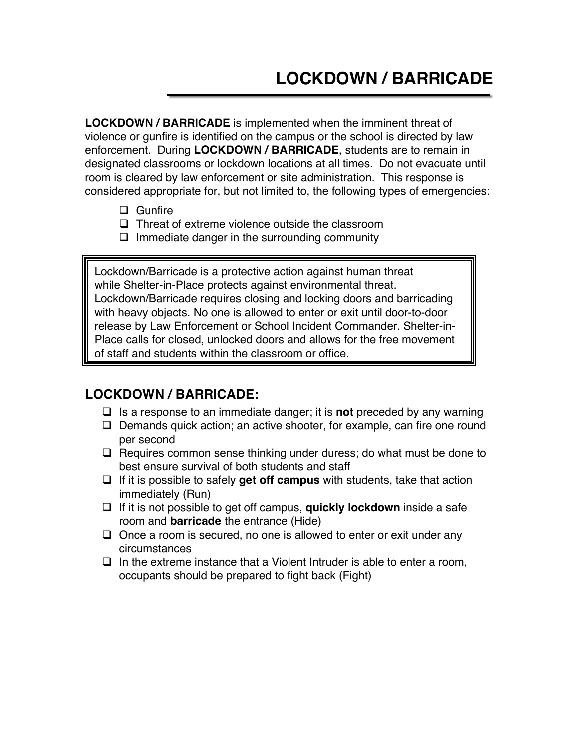**LOCKDOWN / BARRICADE** is implemented when the imminent threat of violence or gunfire is identified on the campus or the school is directed by law enforcement. During **LOCKDOWN / BARRICADE**, students are to remain in designated classrooms or lockdown locations at all times. Do not evacuate until room is cleared by law enforcement or site administration. This response is considered appropriate for, but not limited to, the following types of emergencies:

- $\Box$  Gunfire
- $\Box$  Threat of extreme violence outside the classroom
- $\Box$  Immediate danger in the surrounding community

Lockdown/Barricade is a protective action against human threat while Shelter-in-Place protects against environmental threat. Lockdown/Barricade requires closing and locking doors and barricading with heavy objects. No one is allowed to enter or exit until door-to-door release by Law Enforcement or School Incident Commander. Shelter-in-Place calls for closed, unlocked doors and allows for the free movement of staff and students within the classroom or office.

#### **LOCKDOWN / BARRICADE:**

- $\Box$  Is a response to an immediate danger; it is **not** preceded by any warning
- $\Box$  Demands quick action; an active shooter, for example, can fire one round per second
- $\Box$  Requires common sense thinking under duress; do what must be done to best ensure survival of both students and staff
- $\Box$  If it is possible to safely **get off campus** with students, take that action immediately (Run)
- q If it is not possible to get off campus, **quickly lockdown** inside a safe room and **barricade** the entrance (Hide)
- $\Box$  Once a room is secured, no one is allowed to enter or exit under any circumstances
- $\Box$  In the extreme instance that a Violent Intruder is able to enter a room, occupants should be prepared to fight back (Fight)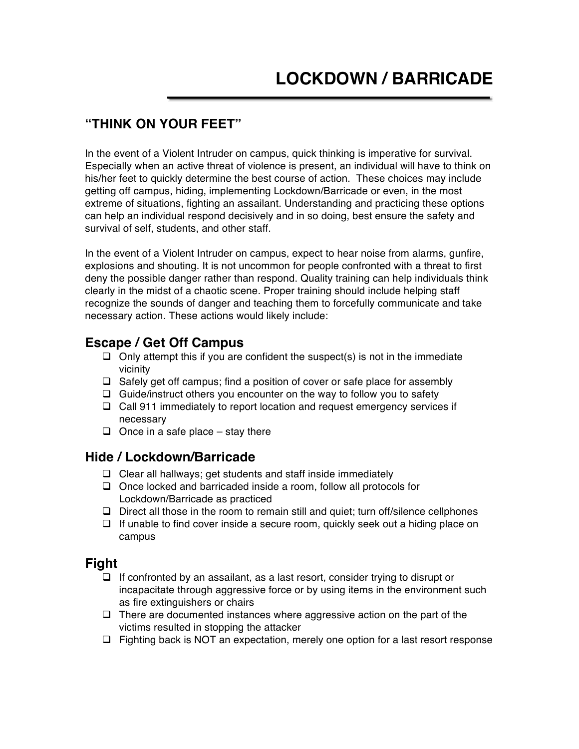#### **"THINK ON YOUR FEET"**

In the event of a Violent Intruder on campus, quick thinking is imperative for survival. Especially when an active threat of violence is present, an individual will have to think on his/her feet to quickly determine the best course of action. These choices may include getting off campus, hiding, implementing Lockdown/Barricade or even, in the most extreme of situations, fighting an assailant. Understanding and practicing these options can help an individual respond decisively and in so doing, best ensure the safety and survival of self, students, and other staff.

In the event of a Violent Intruder on campus, expect to hear noise from alarms, gunfire, explosions and shouting. It is not uncommon for people confronted with a threat to first deny the possible danger rather than respond. Quality training can help individuals think clearly in the midst of a chaotic scene. Proper training should include helping staff recognize the sounds of danger and teaching them to forcefully communicate and take necessary action. These actions would likely include:

#### **Escape / Get Off Campus**

- $\Box$  Only attempt this if you are confident the suspect(s) is not in the immediate vicinity
- $\Box$  Safely get off campus; find a position of cover or safe place for assembly
- $\Box$  Guide/instruct others you encounter on the way to follow you to safety
- $\Box$  Call 911 immediately to report location and request emergency services if necessary
- $\Box$  Once in a safe place stay there

#### **Hide / Lockdown/Barricade**

- $\Box$  Clear all hallways; get students and staff inside immediately
- $\Box$  Once locked and barricaded inside a room, follow all protocols for Lockdown/Barricade as practiced
- $\Box$  Direct all those in the room to remain still and quiet; turn off/silence cellphones
- $\Box$  If unable to find cover inside a secure room, quickly seek out a hiding place on campus

#### **Fight**

- $\Box$  If confronted by an assailant, as a last resort, consider trying to disrupt or incapacitate through aggressive force or by using items in the environment such as fire extinguishers or chairs
- $\Box$  There are documented instances where aggressive action on the part of the victims resulted in stopping the attacker
- $\Box$  Fighting back is NOT an expectation, merely one option for a last resort response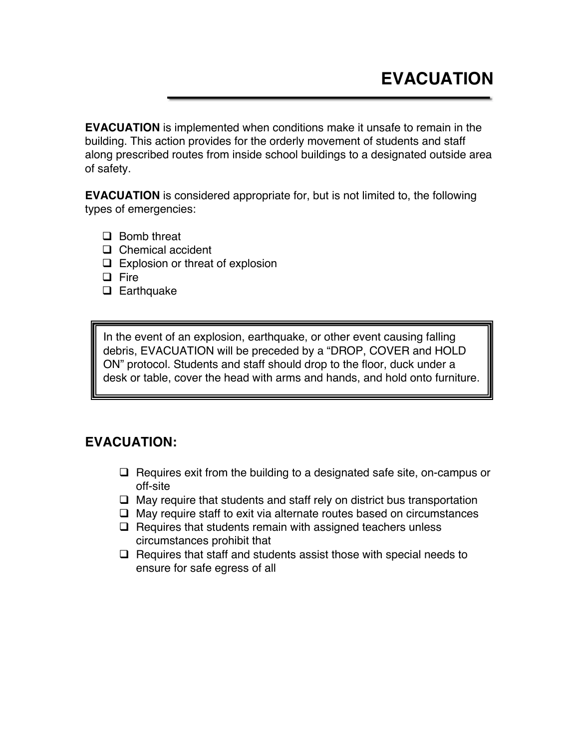**EVACUATION** is implemented when conditions make it unsafe to remain in the building. This action provides for the orderly movement of students and staff along prescribed routes from inside school buildings to a designated outside area of safety.

**EVACUATION** is considered appropriate for, but is not limited to, the following types of emergencies:

- $\Box$  Bomb threat
- $\Box$  Chemical accident
- $\Box$  Explosion or threat of explosion
- $\Box$  Fire
- $\Box$  Earthquake

In the event of an explosion, earthquake, or other event causing falling debris, EVACUATION will be preceded by a "DROP, COVER and HOLD ON" protocol. Students and staff should drop to the floor, duck under a desk or table, cover the head with arms and hands, and hold onto furniture.

#### **EVACUATION:**

- $\Box$  Requires exit from the building to a designated safe site, on-campus or off-site
- $\Box$  May require that students and staff rely on district bus transportation
- $\Box$  May require staff to exit via alternate routes based on circumstances
- $\Box$  Requires that students remain with assigned teachers unless circumstances prohibit that
- $\Box$  Requires that staff and students assist those with special needs to ensure for safe egress of all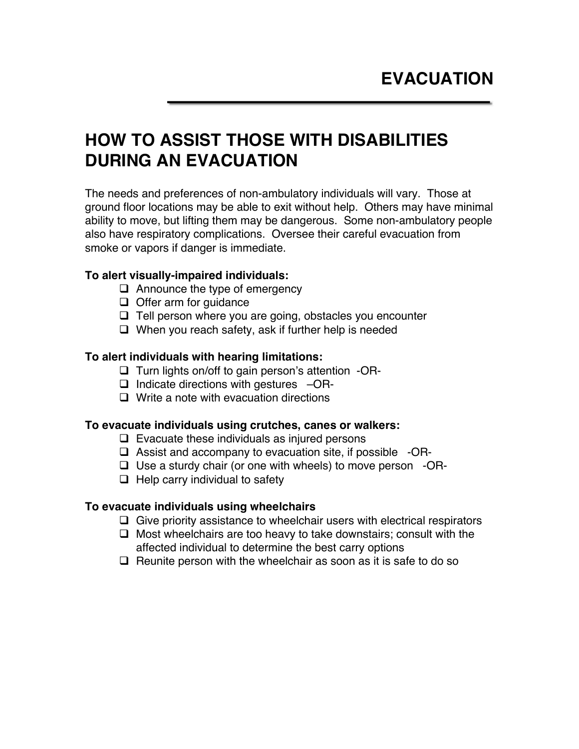## **HOW TO ASSIST THOSE WITH DISABILITIES DURING AN EVACUATION**

The needs and preferences of non-ambulatory individuals will vary. Those at ground floor locations may be able to exit without help. Others may have minimal ability to move, but lifting them may be dangerous. Some non-ambulatory people also have respiratory complications. Oversee their careful evacuation from smoke or vapors if danger is immediate.

#### **To alert visually-impaired individuals:**

- $\Box$  Announce the type of emergency
- $\Box$  Offer arm for guidance
- $\Box$  Tell person where you are going, obstacles you encounter
- $\Box$  When you reach safety, ask if further help is needed

#### **To alert individuals with hearing limitations:**

- $\Box$  Turn lights on/off to gain person's attention -OR-
- $\Box$  Indicate directions with gestures  $-\text{OR-}$
- $\Box$  Write a note with evacuation directions

#### **To evacuate individuals using crutches, canes or walkers:**

- $\Box$  Evacuate these individuals as injured persons
- $\Box$  Assist and accompany to evacuation site, if possible -OR-
- $\Box$  Use a sturdy chair (or one with wheels) to move person -OR-
- $\Box$  Help carry individual to safety

#### **To evacuate individuals using wheelchairs**

- $\Box$  Give priority assistance to wheelchair users with electrical respirators
- $\Box$  Most wheelchairs are too heavy to take downstairs; consult with the affected individual to determine the best carry options
- $\Box$  Reunite person with the wheelchair as soon as it is safe to do so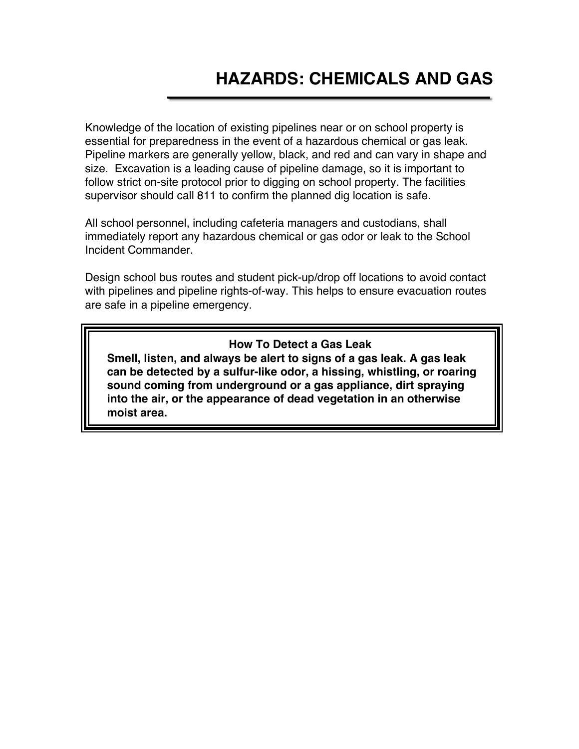Knowledge of the location of existing pipelines near or on school property is essential for preparedness in the event of a hazardous chemical or gas leak. Pipeline markers are generally yellow, black, and red and can vary in shape and size. Excavation is a leading cause of pipeline damage, so it is important to follow strict on-site protocol prior to digging on school property. The facilities supervisor should call 811 to confirm the planned dig location is safe.

All school personnel, including cafeteria managers and custodians, shall immediately report any hazardous chemical or gas odor or leak to the School Incident Commander.

Design school bus routes and student pick-up/drop off locations to avoid contact with pipelines and pipeline rights-of-way. This helps to ensure evacuation routes are safe in a pipeline emergency.

#### **How To Detect a Gas Leak**

**Smell, listen, and always be alert to signs of a gas leak. A gas leak can be detected by a sulfur-like odor, a hissing, whistling, or roaring sound coming from underground or a gas appliance, dirt spraying into the air, or the appearance of dead vegetation in an otherwise moist area.**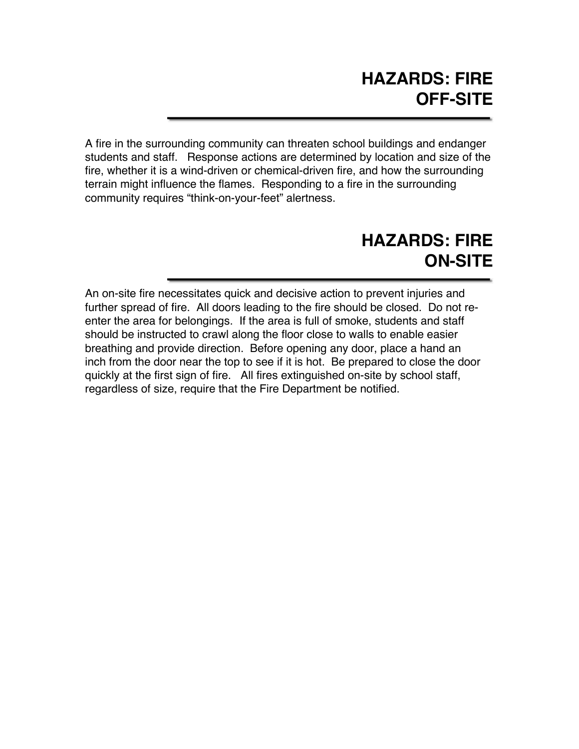A fire in the surrounding community can threaten school buildings and endanger students and staff. Response actions are determined by location and size of the fire, whether it is a wind-driven or chemical-driven fire, and how the surrounding terrain might influence the flames. Responding to a fire in the surrounding community requires "think-on-your-feet" alertness.

# **HAZARDS: FIRE ON-SITE**

An on-site fire necessitates quick and decisive action to prevent injuries and further spread of fire. All doors leading to the fire should be closed. Do not reenter the area for belongings. If the area is full of smoke, students and staff should be instructed to crawl along the floor close to walls to enable easier breathing and provide direction. Before opening any door, place a hand an inch from the door near the top to see if it is hot. Be prepared to close the door quickly at the first sign of fire. All fires extinguished on-site by school staff, regardless of size, require that the Fire Department be notified.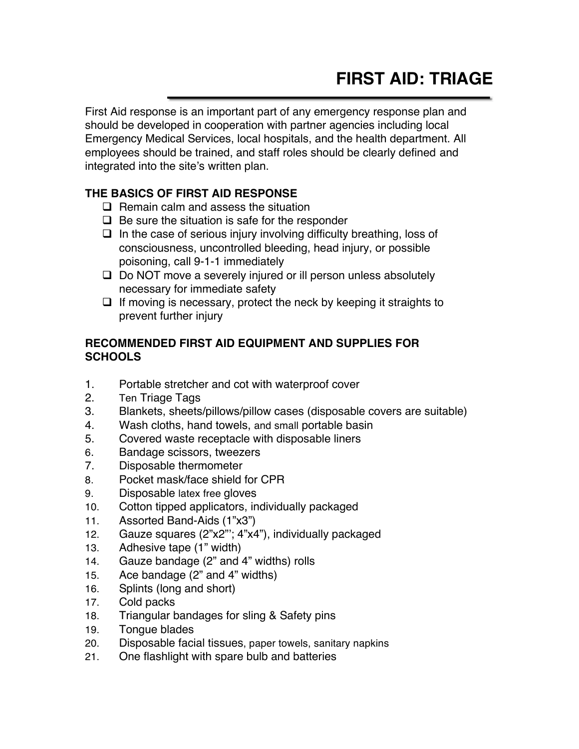First Aid response is an important part of any emergency response plan and should be developed in cooperation with partner agencies including local Emergency Medical Services, local hospitals, and the health department. All employees should be trained, and staff roles should be clearly defined and integrated into the site's written plan.

#### **THE BASICS OF FIRST AID RESPONSE**

- $\Box$  Remain calm and assess the situation
- $\Box$  Be sure the situation is safe for the responder
- $\Box$  In the case of serious injury involving difficulty breathing, loss of consciousness, uncontrolled bleeding, head injury, or possible poisoning, call 9-1-1 immediately
- $\Box$  Do NOT move a severely injured or ill person unless absolutely necessary for immediate safety
- $\Box$  If moving is necessary, protect the neck by keeping it straights to prevent further injury

#### **RECOMMENDED FIRST AID EQUIPMENT AND SUPPLIES FOR SCHOOLS**

- 1. Portable stretcher and cot with waterproof cover
- 2. Ten Triage Tags
- 3. Blankets, sheets/pillows/pillow cases (disposable covers are suitable)
- 4. Wash cloths, hand towels, and small portable basin
- 5. Covered waste receptacle with disposable liners
- 6. Bandage scissors, tweezers
- 7. Disposable thermometer
- 8. Pocket mask/face shield for CPR
- 9. Disposable latex free gloves
- 10. Cotton tipped applicators, individually packaged
- 11. Assorted Band-Aids (1"x3")
- 12. Gauze squares (2"x2"'; 4"x4"), individually packaged
- 13. Adhesive tape (1" width)
- 14. Gauze bandage (2" and 4" widths) rolls
- 15. Ace bandage (2" and 4" widths)
- 16. Splints (long and short)
- 17. Cold packs
- 18. Triangular bandages for sling & Safety pins
- 19. Tongue blades
- 20. Disposable facial tissues, paper towels, sanitary napkins
- 21. One flashlight with spare bulb and batteries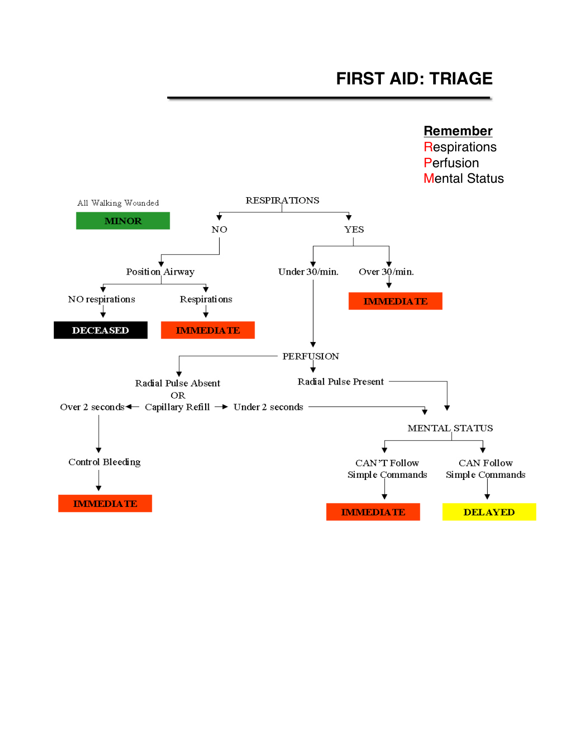#### **Remember**

**Respirations Perfusion** Mental Status

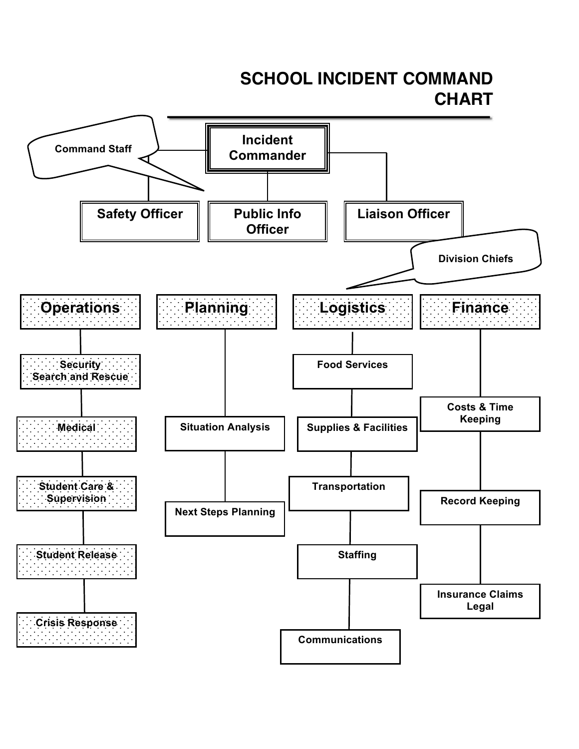# **SCHOOL INCIDENT COMMAND CHART**